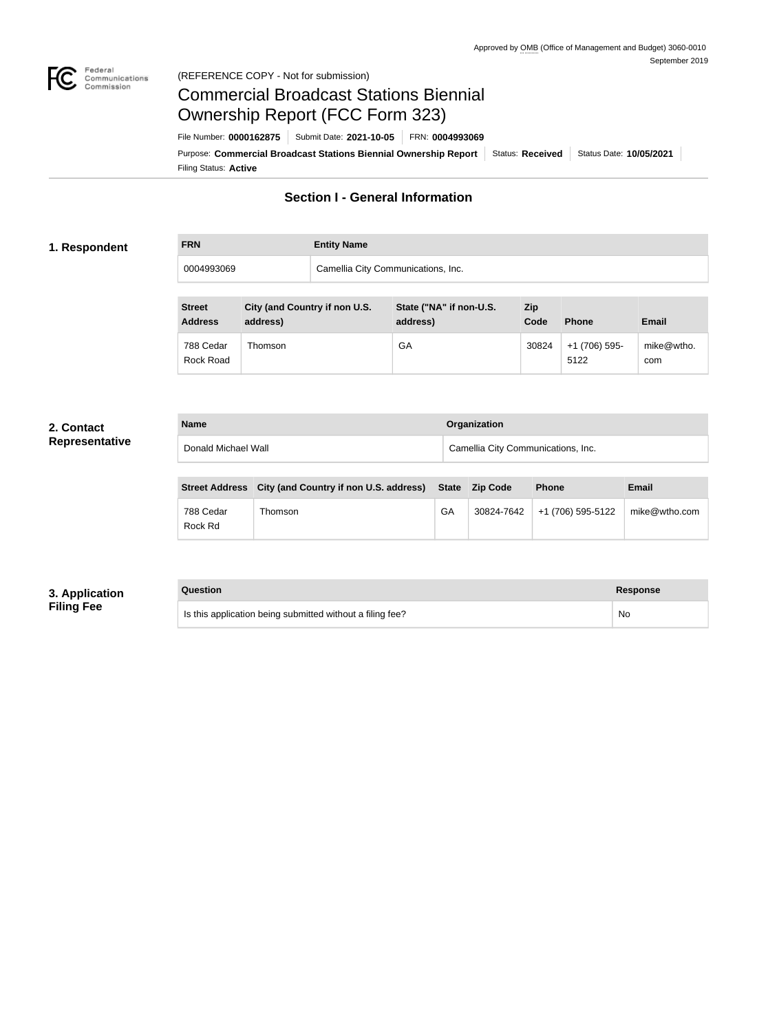

### Federal<br>Communications<br>Commission (REFERENCE COPY - Not for submission)

# Commercial Broadcast Stations Biennial Ownership Report (FCC Form 323)

Filing Status: **Active** Purpose: Commercial Broadcast Stations Biennial Ownership Report Status: Received Status Date: 10/05/2021 File Number: **0000162875** Submit Date: **2021-10-05** FRN: **0004993069**

# **Section I - General Information**

## **1. Respondent**

**FRN Entity Name**

0004993069 Camellia City Communications, Inc.

| <b>Street</b><br><b>Address</b> | City (and Country if non U.S.<br>address) | State ("NA" if non-U.S.<br>address) | <b>Zip</b><br>Code | <b>Phone</b>          | <b>Email</b>      |
|---------------------------------|-------------------------------------------|-------------------------------------|--------------------|-----------------------|-------------------|
| 788 Cedar<br>Rock Road          | Thomson                                   | GA                                  | 30824              | +1 (706) 595-<br>5122 | mike@wtho.<br>com |

### **2. Contact Representative**

| <b>Name</b>         | <b>Organization</b>                |
|---------------------|------------------------------------|
| Donald Michael Wall | Camellia City Communications, Inc. |

|                      | Street Address City (and Country if non U.S. address) State Zip Code |    | <b>Phone</b>                     | Email         |
|----------------------|----------------------------------------------------------------------|----|----------------------------------|---------------|
| 788 Cedar<br>Rock Rd | Thomson                                                              | GA | $30824 - 7642$ +1 (706) 595-5122 | mike@wtho.com |

# **3. Application Filing Fee**

#### **Question Response**

Is this application being submitted without a filing fee? No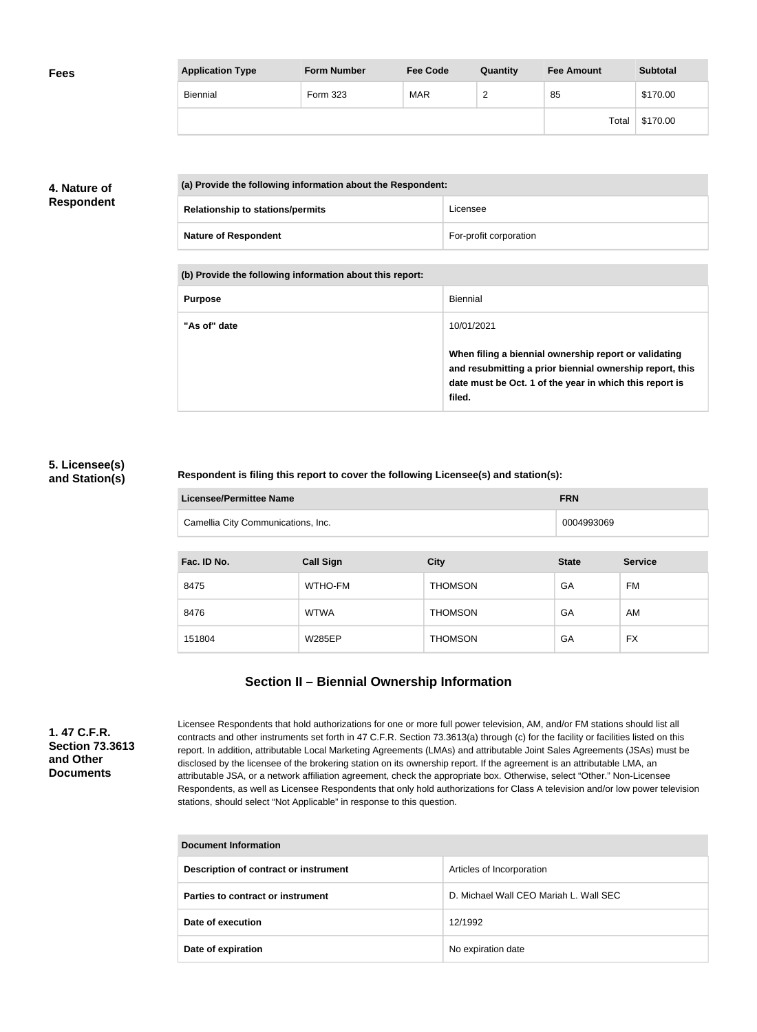| <b>Fees</b> | <b>Application Type</b> | <b>Form Number</b> | <b>Fee Code</b> | Quantity | <b>Fee Amount</b> | <b>Subtotal</b> |
|-------------|-------------------------|--------------------|-----------------|----------|-------------------|-----------------|
|             | Biennial                | Form 323           | <b>MAR</b>      | <u>_</u> | 85                | \$170.00        |
|             |                         |                    |                 |          | Total             | \$170.00        |

# **4. Nature of Respondent**

| (a) Provide the following information about the Respondent: |                        |  |
|-------------------------------------------------------------|------------------------|--|
| <b>Relationship to stations/permits</b>                     | Licensee               |  |
| <b>Nature of Respondent</b>                                 | For-profit corporation |  |

**(b) Provide the following information about this report:**

| <b>Purpose</b> | Biennial                                                                                                                                                                               |
|----------------|----------------------------------------------------------------------------------------------------------------------------------------------------------------------------------------|
| "As of" date   | 10/01/2021                                                                                                                                                                             |
|                | When filing a biennial ownership report or validating<br>and resubmitting a prior biennial ownership report, this<br>date must be Oct. 1 of the year in which this report is<br>filed. |

### **5. Licensee(s) and Station(s)**

### **Respondent is filing this report to cover the following Licensee(s) and station(s):**

| Licensee/Permittee Name            | <b>FRN</b> |
|------------------------------------|------------|
| Camellia City Communications, Inc. | 0004993069 |

| Fac. ID No. | <b>Call Sign</b> | <b>City</b>    | <b>State</b> | <b>Service</b> |
|-------------|------------------|----------------|--------------|----------------|
| 8475        | WTHO-FM          | <b>THOMSON</b> | GA           | FM             |
| 8476        | <b>WTWA</b>      | <b>THOMSON</b> | GA           | AM             |
| 151804      | <b>W285EP</b>    | <b>THOMSON</b> | GA           | <b>FX</b>      |

# **Section II – Biennial Ownership Information**

**1. 47 C.F.R. Section 73.3613 and Other Documents**

Licensee Respondents that hold authorizations for one or more full power television, AM, and/or FM stations should list all contracts and other instruments set forth in 47 C.F.R. Section 73.3613(a) through (c) for the facility or facilities listed on this report. In addition, attributable Local Marketing Agreements (LMAs) and attributable Joint Sales Agreements (JSAs) must be disclosed by the licensee of the brokering station on its ownership report. If the agreement is an attributable LMA, an attributable JSA, or a network affiliation agreement, check the appropriate box. Otherwise, select "Other." Non-Licensee Respondents, as well as Licensee Respondents that only hold authorizations for Class A television and/or low power television stations, should select "Not Applicable" in response to this question.

| Document Information                  |                                        |  |
|---------------------------------------|----------------------------------------|--|
| Description of contract or instrument | Articles of Incorporation              |  |
| Parties to contract or instrument     | D. Michael Wall CEO Mariah L. Wall SEC |  |
| Date of execution                     | 12/1992                                |  |
| Date of expiration                    | No expiration date                     |  |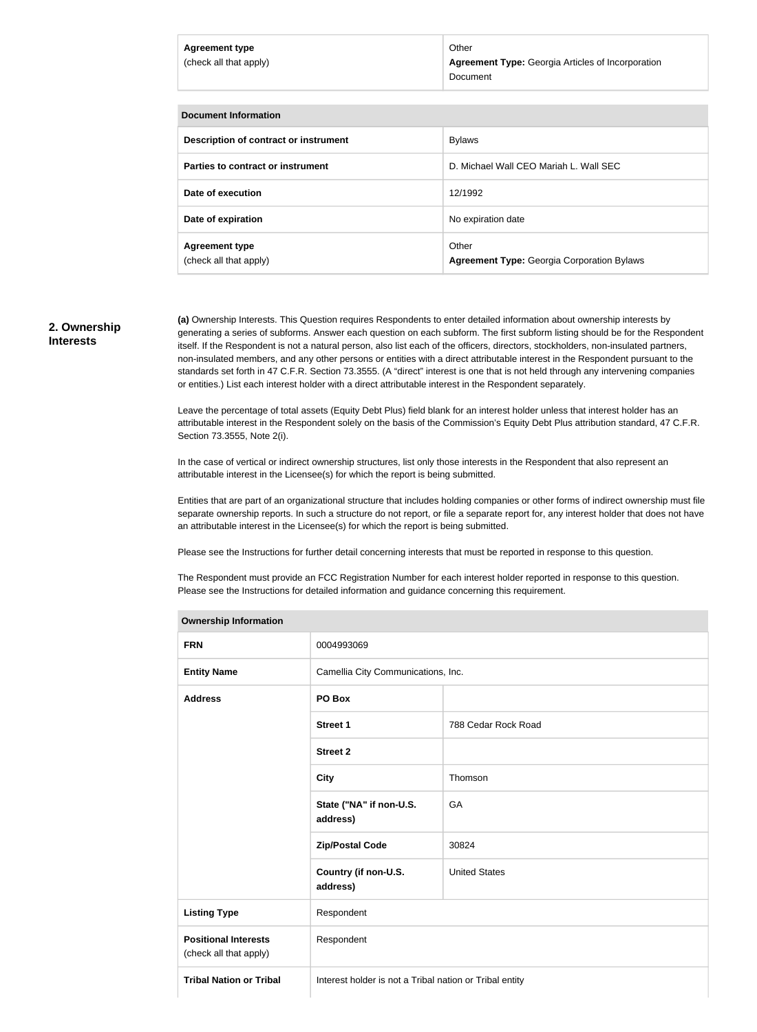#### **Agreement type** (check all that apply)

Other **Agreement Type:** Georgia Articles of Incorporation Document

### **Document Information**

| Description of contract or instrument           | <b>Bylaws</b>                                              |
|-------------------------------------------------|------------------------------------------------------------|
| Parties to contract or instrument               | D. Michael Wall CEO Mariah L. Wall SEC                     |
| Date of execution                               | 12/1992                                                    |
| Date of expiration                              | No expiration date                                         |
| <b>Agreement type</b><br>(check all that apply) | Other<br><b>Agreement Type: Georgia Corporation Bylaws</b> |

### **2. Ownership Interests**

**(a)** Ownership Interests. This Question requires Respondents to enter detailed information about ownership interests by generating a series of subforms. Answer each question on each subform. The first subform listing should be for the Respondent itself. If the Respondent is not a natural person, also list each of the officers, directors, stockholders, non-insulated partners, non-insulated members, and any other persons or entities with a direct attributable interest in the Respondent pursuant to the standards set forth in 47 C.F.R. Section 73.3555. (A "direct" interest is one that is not held through any intervening companies or entities.) List each interest holder with a direct attributable interest in the Respondent separately.

Leave the percentage of total assets (Equity Debt Plus) field blank for an interest holder unless that interest holder has an attributable interest in the Respondent solely on the basis of the Commission's Equity Debt Plus attribution standard, 47 C.F.R. Section 73.3555, Note 2(i).

In the case of vertical or indirect ownership structures, list only those interests in the Respondent that also represent an attributable interest in the Licensee(s) for which the report is being submitted.

Entities that are part of an organizational structure that includes holding companies or other forms of indirect ownership must file separate ownership reports. In such a structure do not report, or file a separate report for, any interest holder that does not have an attributable interest in the Licensee(s) for which the report is being submitted.

Please see the Instructions for further detail concerning interests that must be reported in response to this question.

The Respondent must provide an FCC Registration Number for each interest holder reported in response to this question. Please see the Instructions for detailed information and guidance concerning this requirement.

| <b>Ownership Information</b>                          |                                                         |                      |  |
|-------------------------------------------------------|---------------------------------------------------------|----------------------|--|
| <b>FRN</b>                                            | 0004993069                                              |                      |  |
| <b>Entity Name</b>                                    | Camellia City Communications, Inc.                      |                      |  |
| <b>Address</b>                                        | PO Box                                                  |                      |  |
|                                                       | <b>Street 1</b>                                         | 788 Cedar Rock Road  |  |
|                                                       | <b>Street 2</b>                                         |                      |  |
|                                                       | <b>City</b>                                             | Thomson              |  |
|                                                       | State ("NA" if non-U.S.<br>address)                     | GA                   |  |
|                                                       | <b>Zip/Postal Code</b>                                  | 30824                |  |
|                                                       | Country (if non-U.S.<br>address)                        | <b>United States</b> |  |
| <b>Listing Type</b>                                   | Respondent                                              |                      |  |
| <b>Positional Interests</b><br>(check all that apply) | Respondent                                              |                      |  |
| <b>Tribal Nation or Tribal</b>                        | Interest holder is not a Tribal nation or Tribal entity |                      |  |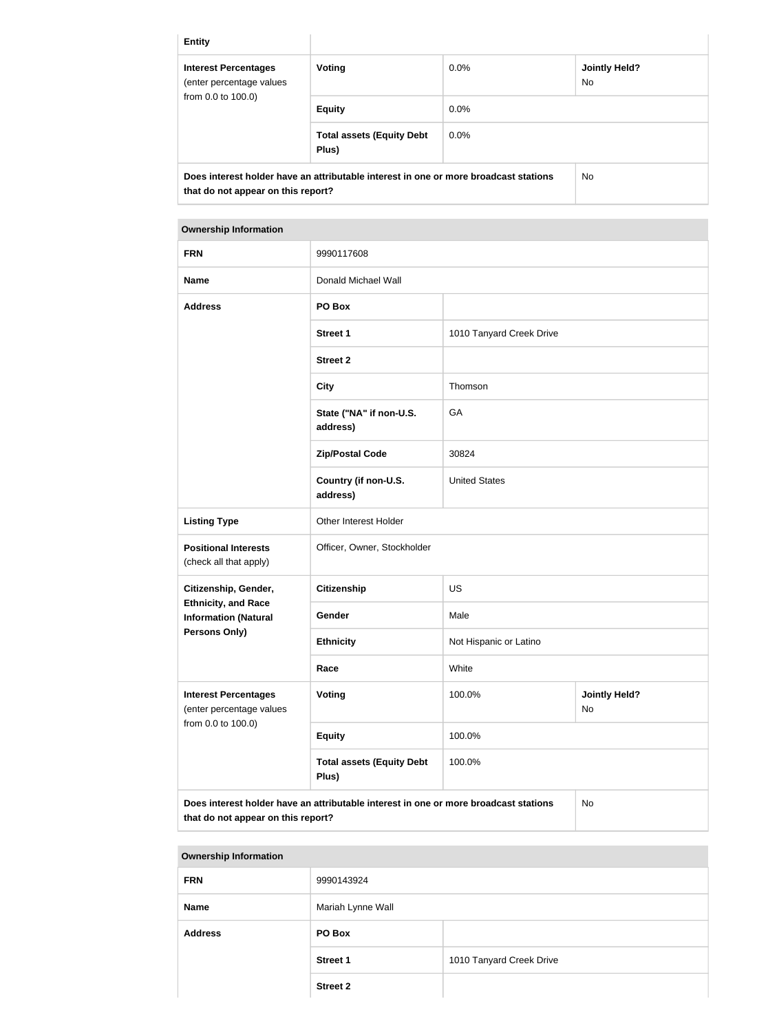| <b>Entity</b>                                                                        |                                           |         |                             |
|--------------------------------------------------------------------------------------|-------------------------------------------|---------|-----------------------------|
| <b>Interest Percentages</b><br>(enter percentage values                              | <b>Voting</b>                             | $0.0\%$ | <b>Jointly Held?</b><br>No. |
| from 0.0 to 100.0)                                                                   | <b>Equity</b>                             | $0.0\%$ |                             |
|                                                                                      | <b>Total assets (Equity Debt</b><br>Plus) | 0.0%    |                             |
| Does interest holder have an attributable interest in one or more broadcast stations |                                           |         | <b>No</b>                   |

**that do not appear on this report?**

# **Ownership Information FRN** 9990117608 **Name** Donald Michael Wall **Address PO Box Street 1** 1010 Tanyard Creek Drive **Street 2 City** Thomson **State ("NA" if non-U.S. address)** GA **Zip/Postal Code** 30824 **Country (if non-U.S. address)** United States **Listing Type Calculate Contracts** Other Interest Holder **Positional Interests** (check all that apply) Officer, Owner, Stockholder **Citizenship, Gender, Ethnicity, and Race Information (Natural Persons Only) Citizenship** US Gender Male **Ethnicity** Not Hispanic or Latino **Race** White **Interest Percentages** (enter percentage values from 0.0 to 100.0) **Voting 100.0% Jointly Held?** No **Equity** 100.0% **Total assets (Equity Debt Plus)** 100.0%

**Does interest holder have an attributable interest in one or more broadcast stations that do not appear on this report?**

No

**Ownership Information**

| <b>FRN</b>     | 9990143924        |                          |
|----------------|-------------------|--------------------------|
| <b>Name</b>    | Mariah Lynne Wall |                          |
| <b>Address</b> | PO Box            |                          |
|                | <b>Street 1</b>   | 1010 Tanyard Creek Drive |
|                | <b>Street 2</b>   |                          |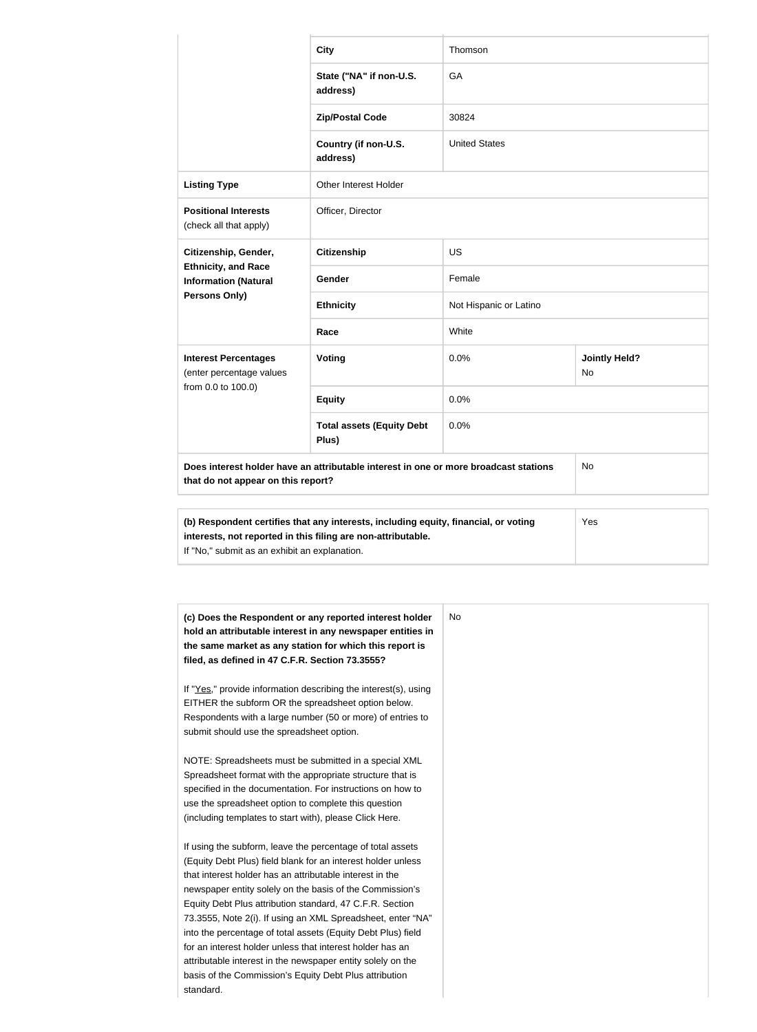|                                                                                                                            | <b>City</b>                               | Thomson                |                            |  |
|----------------------------------------------------------------------------------------------------------------------------|-------------------------------------------|------------------------|----------------------------|--|
|                                                                                                                            | State ("NA" if non-U.S.<br>address)       | GA                     |                            |  |
|                                                                                                                            | <b>Zip/Postal Code</b>                    | 30824                  |                            |  |
|                                                                                                                            | Country (if non-U.S.<br>address)          | <b>United States</b>   |                            |  |
| <b>Listing Type</b>                                                                                                        | Other Interest Holder                     |                        |                            |  |
| <b>Positional Interests</b><br>(check all that apply)                                                                      | Officer, Director                         |                        |                            |  |
| Citizenship, Gender,<br><b>Ethnicity, and Race</b><br><b>Information (Natural</b><br>Persons Only)                         | <b>Citizenship</b>                        | <b>US</b>              |                            |  |
|                                                                                                                            | Gender                                    | Female                 |                            |  |
|                                                                                                                            | <b>Ethnicity</b>                          | Not Hispanic or Latino |                            |  |
|                                                                                                                            | Race                                      | White                  |                            |  |
| <b>Interest Percentages</b><br>(enter percentage values<br>from 0.0 to 100.0)                                              | Voting                                    | 0.0%                   | <b>Jointly Held?</b><br>No |  |
|                                                                                                                            | <b>Equity</b>                             | 0.0%                   |                            |  |
|                                                                                                                            | <b>Total assets (Equity Debt</b><br>Plus) | 0.0%                   |                            |  |
| Does interest holder have an attributable interest in one or more broadcast stations<br>that do not appear on this report? |                                           |                        | No                         |  |
| Yes<br>(b) Respondent certifies that any interests, including equity, financial, or voting                                 |                                           |                        |                            |  |
| interests, not reported in this filing are non-attributable.                                                               |                                           |                        |                            |  |

If "No," submit as an exhibit an explanation.

| (c) Does the Respondent or any reported interest holder<br>hold an attributable interest in any newspaper entities in<br>the same market as any station for which this report is<br>filed, as defined in 47 C.F.R. Section 73.3555? | No. |
|-------------------------------------------------------------------------------------------------------------------------------------------------------------------------------------------------------------------------------------|-----|
| If "Yes," provide information describing the interest(s), using                                                                                                                                                                     |     |
| EITHER the subform OR the spreadsheet option below.                                                                                                                                                                                 |     |
| Respondents with a large number (50 or more) of entries to<br>submit should use the spreadsheet option.                                                                                                                             |     |
| NOTE: Spreadsheets must be submitted in a special XML                                                                                                                                                                               |     |
| Spreadsheet format with the appropriate structure that is                                                                                                                                                                           |     |
| specified in the documentation. For instructions on how to                                                                                                                                                                          |     |
| use the spreadsheet option to complete this question                                                                                                                                                                                |     |
| (including templates to start with), please Click Here.                                                                                                                                                                             |     |
| If using the subform, leave the percentage of total assets                                                                                                                                                                          |     |
| (Equity Debt Plus) field blank for an interest holder unless                                                                                                                                                                        |     |
| that interest holder has an attributable interest in the                                                                                                                                                                            |     |
| newspaper entity solely on the basis of the Commission's                                                                                                                                                                            |     |
| Equity Debt Plus attribution standard, 47 C.F.R. Section                                                                                                                                                                            |     |
| 73.3555, Note 2(i). If using an XML Spreadsheet, enter "NA"                                                                                                                                                                         |     |
| into the percentage of total assets (Equity Debt Plus) field                                                                                                                                                                        |     |
| for an interest holder unless that interest holder has an                                                                                                                                                                           |     |
| attributable interest in the newspaper entity solely on the                                                                                                                                                                         |     |
| basis of the Commission's Equity Debt Plus attribution                                                                                                                                                                              |     |
| standard.                                                                                                                                                                                                                           |     |